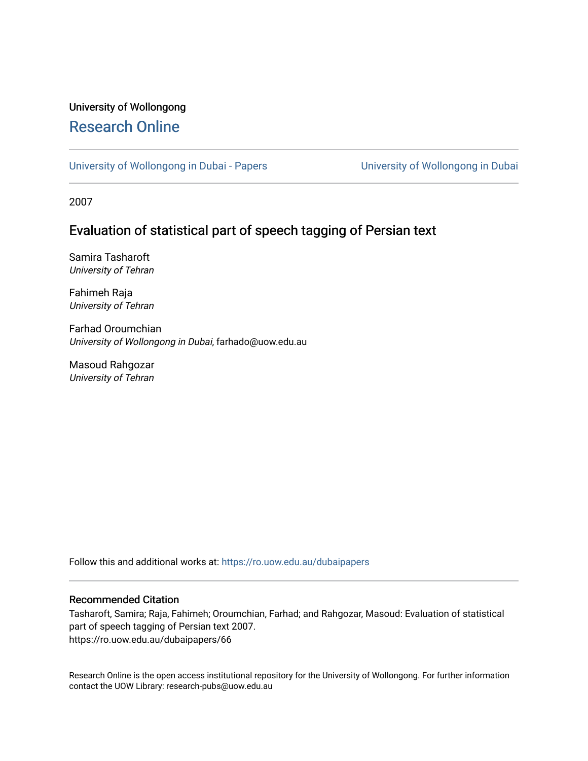# University of Wollongong [Research Online](https://ro.uow.edu.au/)

[University of Wollongong in Dubai - Papers](https://ro.uow.edu.au/dubaipapers) **University of Wollongong in Dubai** 

2007

# Evaluation of statistical part of speech tagging of Persian text

Samira Tasharoft University of Tehran

Fahimeh Raja University of Tehran

Farhad Oroumchian University of Wollongong in Dubai, farhado@uow.edu.au

Masoud Rahgozar University of Tehran

Follow this and additional works at: [https://ro.uow.edu.au/dubaipapers](https://ro.uow.edu.au/dubaipapers?utm_source=ro.uow.edu.au%2Fdubaipapers%2F66&utm_medium=PDF&utm_campaign=PDFCoverPages) 

# Recommended Citation

Tasharoft, Samira; Raja, Fahimeh; Oroumchian, Farhad; and Rahgozar, Masoud: Evaluation of statistical part of speech tagging of Persian text 2007. https://ro.uow.edu.au/dubaipapers/66

Research Online is the open access institutional repository for the University of Wollongong. For further information contact the UOW Library: research-pubs@uow.edu.au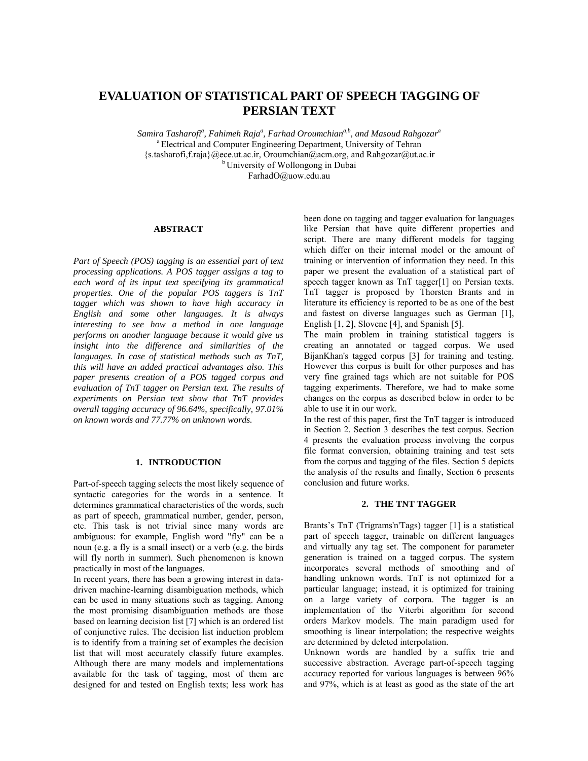# **EVALUATION OF STATISTICAL PART OF SPEECH TAGGING OF PERSIAN TEXT**

Samira Tasharofi<sup>a</sup>, Fahimeh Raja<sup>a</sup>, Farhad Oroumchian<sup>a,b</sup>, and Masoud Rahgozar<sup>a</sup> <sup>a</sup> Electrical and Computer Engineering Department, University of Tehran {s.tasharofi,f.raja}@ece.ut.ac.ir, Oroumchian@acm.org, and Rahgozar@ut.ac.ir b University of Wollongong in Dubai FarhadO@uow.edu.au

### **ABSTRACT**

*Part of Speech (POS) tagging is an essential part of text processing applications. A POS tagger assigns a tag to each word of its input text specifying its grammatical properties. One of the popular POS taggers is TnT tagger which was shown to have high accuracy in English and some other languages. It is always interesting to see how a method in one language performs on another language because it would give us insight into the difference and similarities of the languages. In case of statistical methods such as TnT, this will have an added practical advantages also. This paper presents creation of a POS tagged corpus and evaluation of TnT tagger on Persian text. The results of experiments on Persian text show that TnT provides overall tagging accuracy of 96.64%, specifically, 97.01% on known words and 77.77% on unknown words.* 

# **1. INTRODUCTION**

Part-of-speech tagging selects the most likely sequence of syntactic categories for the words in a sentence. It determines grammatical characteristics of the words, such as part of speech, grammatical number, gender, person, etc. This task is not trivial since many words are ambiguous: for example, English word "fly" can be a noun (e.g. a fly is a small insect) or a verb (e.g. the birds will fly north in summer). Such phenomenon is known practically in most of the languages.

In recent years, there has been a growing interest in datadriven machine-learning disambiguation methods, which can be used in many situations such as tagging. Among the most promising disambiguation methods are those based on learning decision list [7] which is an ordered list of conjunctive rules. The decision list induction problem is to identify from a training set of examples the decision list that will most accurately classify future examples. Although there are many models and implementations available for the task of tagging, most of them are designed for and tested on English texts; less work has

been done on tagging and tagger evaluation for languages like Persian that have quite different properties and script. There are many different models for tagging which differ on their internal model or the amount of training or intervention of information they need. In this paper we present the evaluation of a statistical part of speech tagger known as TnT tagger[1] on Persian texts. TnT tagger is proposed by Thorsten Brants and in literature its efficiency is reported to be as one of the best and fastest on diverse languages such as German [1], English [1, 2], Slovene [4], and Spanish [5].

The main problem in training statistical taggers is creating an annotated or tagged corpus. We used BijanKhan's tagged corpus [3] for training and testing. However this corpus is built for other purposes and has very fine grained tags which are not suitable for POS tagging experiments. Therefore, we had to make some changes on the corpus as described below in order to be able to use it in our work.

In the rest of this paper, first the TnT tagger is introduced in Section 2. Section 3 describes the test corpus. Section 4 presents the evaluation process involving the corpus file format conversion, obtaining training and test sets from the corpus and tagging of the files. Section 5 depicts the analysis of the results and finally, Section 6 presents conclusion and future works.

## **2. THE TNT TAGGER**

Brants's TnT (Trigrams'n'Tags) tagger [1] is a statistical part of speech tagger, trainable on different languages and virtually any tag set. The component for parameter generation is trained on a tagged corpus. The system incorporates several methods of smoothing and of handling unknown words. TnT is not optimized for a particular language; instead, it is optimized for training on a large variety of corpora. The tagger is an implementation of the Viterbi algorithm for second orders Markov models. The main paradigm used for smoothing is linear interpolation; the respective weights are determined by deleted interpolation.

Unknown words are handled by a suffix trie and successive abstraction. Average part-of-speech tagging accuracy reported for various languages is between 96% and 97%, which is at least as good as the state of the art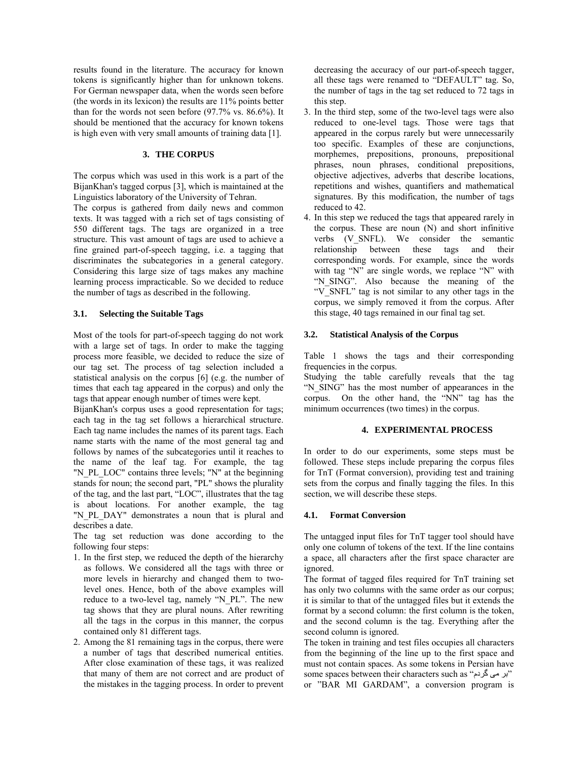results found in the literature. The accuracy for known tokens is significantly higher than for unknown tokens. For German newspaper data, when the words seen before (the words in its lexicon) the results are 11% points better than for the words not seen before (97.7% vs. 86.6%). It should be mentioned that the accuracy for known tokens is high even with very small amounts of training data [1].

#### **3. THE CORPUS**

The corpus which was used in this work is a part of the BijanKhan's tagged corpus [3], which is maintained at the Linguistics laboratory of the University of Tehran.

The corpus is gathered from daily news and common texts. It was tagged with a rich set of tags consisting of 550 different tags. The tags are organized in a tree structure. This vast amount of tags are used to achieve a fine grained part-of-speech tagging, i.e. a tagging that discriminates the subcategories in a general category. Considering this large size of tags makes any machine learning process impracticable. So we decided to reduce the number of tags as described in the following.

#### **3.1. Selecting the Suitable Tags**

Most of the tools for part-of-speech tagging do not work with a large set of tags. In order to make the tagging process more feasible, we decided to reduce the size of our tag set. The process of tag selection included a statistical analysis on the corpus [6] (e.g. the number of times that each tag appeared in the corpus) and only the tags that appear enough number of times were kept.

BijanKhan's corpus uses a good representation for tags; each tag in the tag set follows a hierarchical structure. Each tag name includes the names of its parent tags. Each name starts with the name of the most general tag and follows by names of the subcategories until it reaches to the name of the leaf tag. For example, the tag "N\_PL\_LOC" contains three levels; "N" at the beginning stands for noun; the second part, "PL" shows the plurality of the tag, and the last part, "LOC", illustrates that the tag is about locations. For another example, the tag "N\_PL\_DAY" demonstrates a noun that is plural and describes a date.

The tag set reduction was done according to the following four steps:

- 1. In the first step, we reduced the depth of the hierarchy as follows. We considered all the tags with three or more levels in hierarchy and changed them to twolevel ones. Hence, both of the above examples will reduce to a two-level tag, namely "N\_PL". The new tag shows that they are plural nouns. After rewriting all the tags in the corpus in this manner, the corpus contained only 81 different tags.
- 2. Among the 81 remaining tags in the corpus, there were a number of tags that described numerical entities. After close examination of these tags, it was realized that many of them are not correct and are product of the mistakes in the tagging process. In order to prevent

decreasing the accuracy of our part-of-speech tagger, all these tags were renamed to "DEFAULT" tag. So, the number of tags in the tag set reduced to 72 tags in this step.

- 3. In the third step, some of the two-level tags were also reduced to one-level tags. Those were tags that appeared in the corpus rarely but were unnecessarily too specific. Examples of these are conjunctions, morphemes, prepositions, pronouns, prepositional phrases, noun phrases, conditional prepositions, objective adjectives, adverbs that describe locations, repetitions and wishes, quantifiers and mathematical signatures. By this modification, the number of tags reduced to 42.
- 4. In this step we reduced the tags that appeared rarely in the corpus. These are noun (N) and short infinitive verbs (V\_SNFL). We consider the semantic relationship between these tags and their corresponding words. For example, since the words with tag "N" are single words, we replace "N" with "N\_SING". Also because the meaning of the "V\_SNFL" tag is not similar to any other tags in the corpus, we simply removed it from the corpus. After this stage, 40 tags remained in our final tag set.

#### **3.2. Statistical Analysis of the Corpus**

Table 1 shows the tags and their corresponding frequencies in the corpus.

Studying the table carefully reveals that the tag "N\_SING" has the most number of appearances in the corpus. On the other hand, the "NN" tag has the minimum occurrences (two times) in the corpus.

### **4. EXPERIMENTAL PROCESS**

In order to do our experiments, some steps must be followed. These steps include preparing the corpus files for TnT (Format conversion), providing test and training sets from the corpus and finally tagging the files. In this section, we will describe these steps.

#### **4.1. Format Conversion**

The untagged input files for TnT tagger tool should have only one column of tokens of the text. If the line contains a space, all characters after the first space character are ignored.

The format of tagged files required for TnT training set has only two columns with the same order as our corpus; it is similar to that of the untagged files but it extends the format by a second column: the first column is the token, and the second column is the tag. Everything after the second column is ignored.

The token in training and test files occupies all characters from the beginning of the line up to the first space and must not contain spaces. As some tokens in Persian have some spaces between their characters such as "بر می گردم" or "BAR MI GARDAM", a conversion program is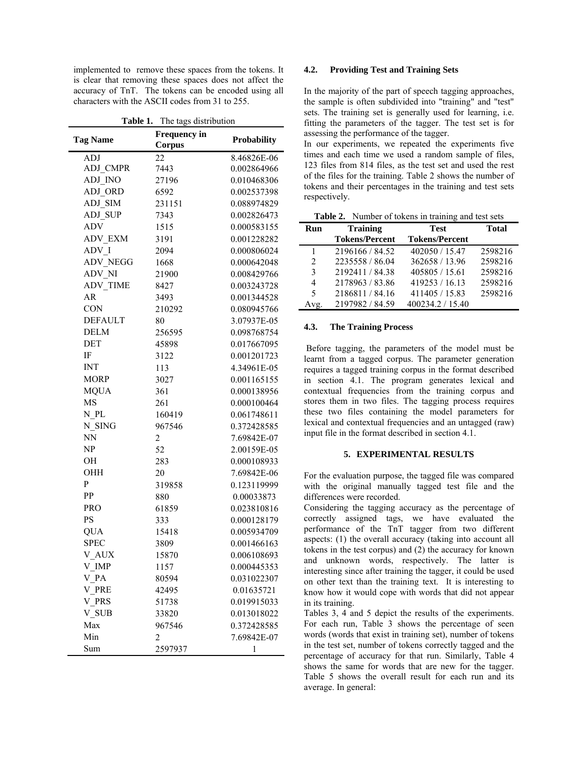implemented to remove these spaces from the tokens. It is clear that removing these spaces does not affect the accuracy of TnT. The tokens can be encoded using all characters with the ASCII codes from 31 to 255.

| Table 1. The tags distribution |                               |                    |  |  |
|--------------------------------|-------------------------------|--------------------|--|--|
| <b>Tag Name</b>                | <b>Frequency</b> in<br>Corpus | <b>Probability</b> |  |  |
| ĀDJ                            | 22                            | 8.46826E-06        |  |  |
| ADJ CMPR                       | 7443                          | 0.002864966        |  |  |
| ADJ INO                        | 27196                         | 0.010468306        |  |  |
| ADJ ORD                        | 6592                          | 0.002537398        |  |  |
| ADJ SIM                        | 231151                        | 0.088974829        |  |  |
| <b>ADJ_SUP</b>                 | 7343                          | 0.002826473        |  |  |
| ADV                            | 1515                          | 0.000583155        |  |  |
| ADV_EXM                        | 3191                          | 0.001228282        |  |  |
| $ADV_I$                        | 2094                          | 0.000806024        |  |  |
| <b>ADV_NEGG</b>                | 1668                          | 0.000642048        |  |  |
| ADV_NI                         | 21900                         | 0.008429766        |  |  |
| <b>ADV_TIME</b>                | 8427                          | 0.003243728        |  |  |
| <b>AR</b>                      | 3493                          | 0.001344528        |  |  |
| <b>CON</b>                     | 210292                        | 0.080945766        |  |  |
| <b>DEFAULT</b>                 | 80                            | 3.07937E-05        |  |  |
| DELM                           | 256595                        | 0.098768754        |  |  |
| <b>DET</b>                     | 45898                         | 0.017667095        |  |  |
| IF                             | 3122                          | 0.001201723        |  |  |
| <b>INT</b>                     | 113                           | 4.34961E-05        |  |  |
| <b>MORP</b>                    | 3027                          | 0.001165155        |  |  |
| <b>MQUA</b>                    | 361                           | 0.000138956        |  |  |
| MS                             | 261                           | 0.000100464        |  |  |
| N PL                           | 160419                        | 0.061748611        |  |  |
| N SING                         | 967546                        | 0.372428585        |  |  |
| NN                             | $\overline{c}$                | 7.69842E-07        |  |  |
| NP                             | 52                            | 2.00159E-05        |  |  |
| OН                             | 283                           | 0.000108933        |  |  |
| OHH                            | 20                            | 7.69842E-06        |  |  |
| P                              | 319858                        | 0.123119999        |  |  |
| PP                             | 880                           | 0.00033873         |  |  |
| <b>PRO</b>                     | 61859                         | 0.023810816        |  |  |
| <b>PS</b>                      | 333                           | 0.000128179        |  |  |
| <b>QUA</b>                     | 15418                         | 0.005934709        |  |  |
| <b>SPEC</b>                    | 3809                          | 0.001466163        |  |  |
| V AUX                          | 15870                         | 0.006108693        |  |  |
| V_IMP                          | 1157                          | 0.000445353        |  |  |
| $V_{-}PA$                      | 80594                         | 0.031022307        |  |  |
| V_PRE                          | 42495                         | 0.01635721         |  |  |
| V PRS                          | 51738                         | 0.019915033        |  |  |
| V SUB                          | 33820                         | 0.013018022        |  |  |
| Max                            | 967546                        | 0.372428585        |  |  |
| Min                            | 2                             | 7.69842E-07        |  |  |
| Sum                            | 2597937                       | 1                  |  |  |
|                                |                               |                    |  |  |

#### **4.2. Providing Test and Training Sets**

In the majority of the part of speech tagging approaches, the sample is often subdivided into "training" and "test" sets. The training set is generally used for learning, i.e. fitting the parameters of the tagger. The test set is for assessing the performance of the tagger.

In our experiments, we repeated the experiments five times and each time we used a random sample of files, 123 files from 814 files, as the test set and used the rest of the files for the training. Table 2 shows the number of tokens and their percentages in the training and test sets respectively.

|  |  |  |  | Table 2. Number of tokens in training and test sets |
|--|--|--|--|-----------------------------------------------------|
|--|--|--|--|-----------------------------------------------------|

| Run                         | <b>Training</b>       | <b>Test</b>           | <b>Total</b> |
|-----------------------------|-----------------------|-----------------------|--------------|
|                             | <b>Tokens/Percent</b> | <b>Tokens/Percent</b> |              |
| 1                           | 2196166 / 84.52       | 402050 / 15.47        | 2598216      |
| $\mathcal{D}_{\mathcal{L}}$ | 2235558 / 86.04       | 362658 / 13.96        | 2598216      |
| 3                           | 2192411 / 84.38       | 405805 / 15.61        | 2598216      |
| 4                           | 2178963 / 83.86       | 419253 / 16.13        | 2598216      |
| 5                           | 2186811/84.16         | 411405 / 15.83        | 2598216      |
| Avg.                        | 2197982 / 84.59       | 400234.2 / 15.40      |              |

#### **4.3. The Training Process**

 Before tagging, the parameters of the model must be learnt from a tagged corpus. The parameter generation requires a tagged training corpus in the format described in section 4.1. The program generates lexical and contextual frequencies from the training corpus and stores them in two files. The tagging process requires these two files containing the model parameters for lexical and contextual frequencies and an untagged (raw) input file in the format described in section 4.1.

# **5. EXPERIMENTAL RESULTS**

For the evaluation purpose, the tagged file was compared with the original manually tagged test file and the differences were recorded.

Considering the tagging accuracy as the percentage of correctly assigned tags, we have evaluated the performance of the TnT tagger from two different aspects: (1) the overall accuracy (taking into account all tokens in the test corpus) and (2) the accuracy for known and unknown words, respectively. The latter is interesting since after training the tagger, it could be used on other text than the training text. It is interesting to know how it would cope with words that did not appear in its training.

Tables 3, 4 and 5 depict the results of the experiments. For each run, Table 3 shows the percentage of seen words (words that exist in training set), number of tokens in the test set, number of tokens correctly tagged and the percentage of accuracy for that run. Similarly, Table 4 shows the same for words that are new for the tagger. Table 5 shows the overall result for each run and its average. In general: